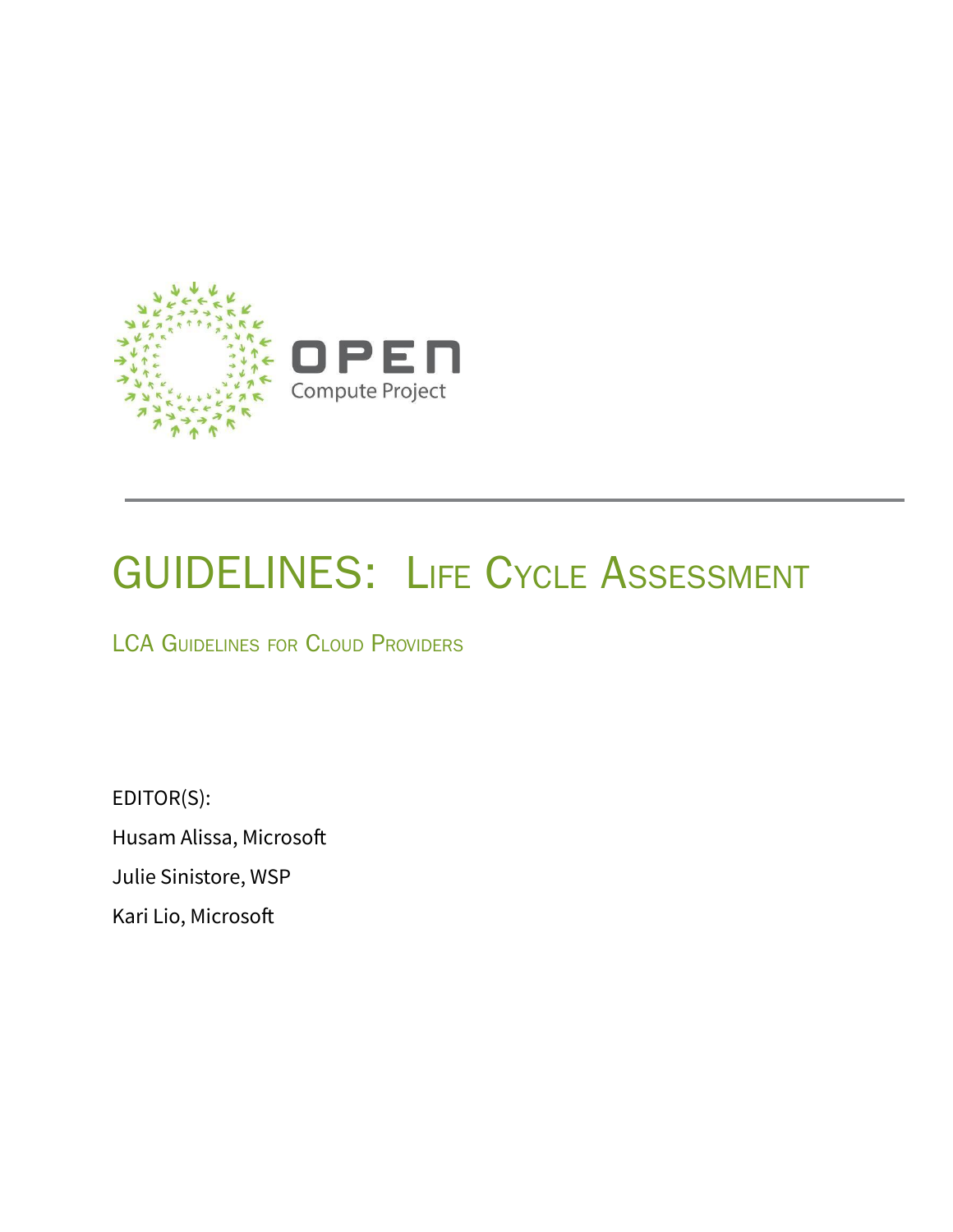

# GUIDELINES: LIFE CYCLE ASSESSMENT

LCA GUIDELINES FOR CLOUD PROVIDERS

EDITOR(S): Husam Alissa, Microsoft Julie Sinistore, WSP Kari Lio, Microsoft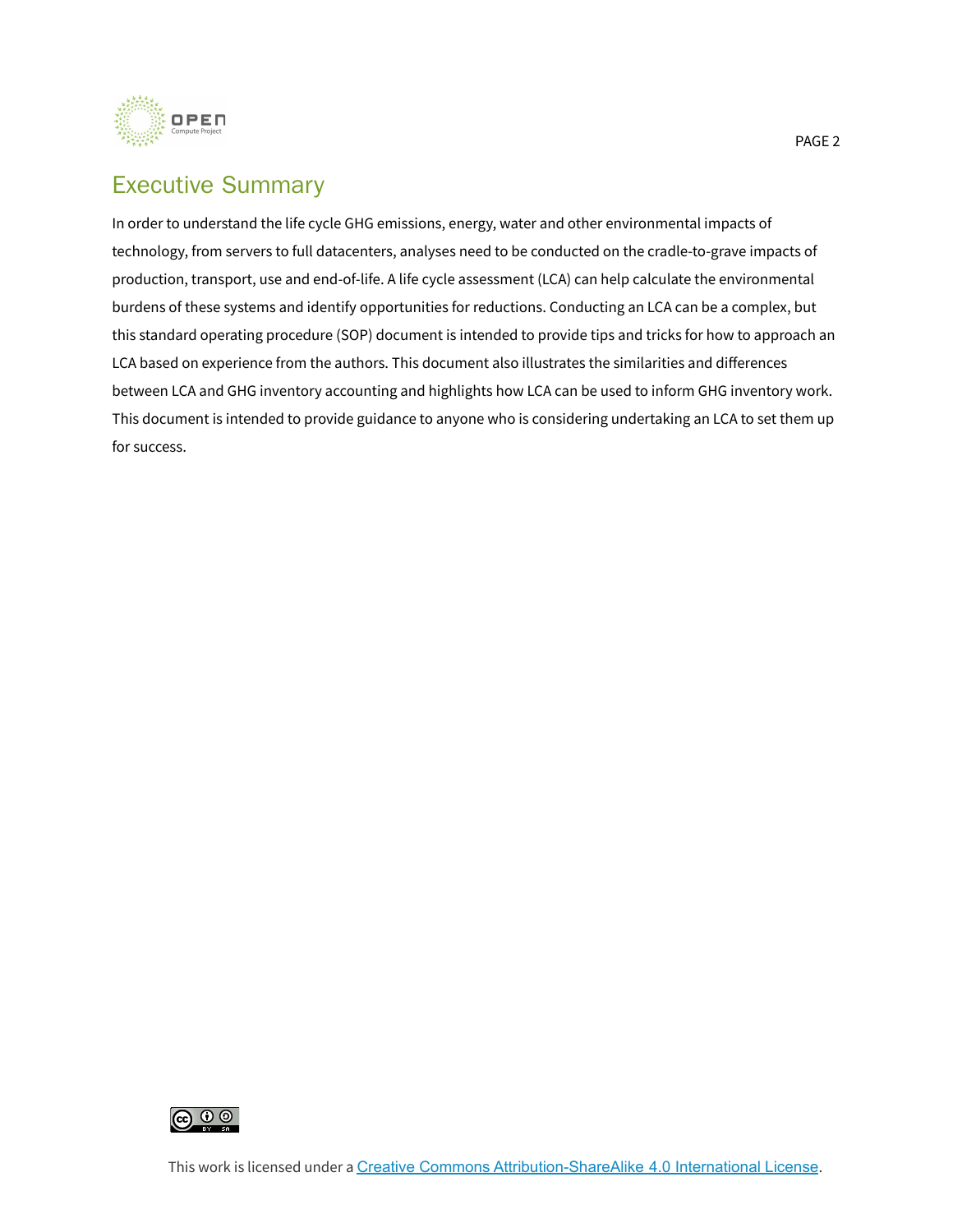

# Executive Summary

In order to understand the life cycle GHG emissions, energy, water and other environmental impacts of technology, from servers to full datacenters, analyses need to be conducted on the cradle-to-grave impacts of production, transport, use and end-of-life. A life cycle assessment (LCA) can help calculate the environmental burdens of these systems and identify opportunities for reductions. Conducting an LCA can be a complex, but this standard operating procedure (SOP) document is intended to provide tips and tricks for how to approach an LCA based on experience from the authors. This document also illustrates the similarities and differences between LCA and GHG inventory accounting and highlights how LCA can be used to inform GHG inventory work. This document is intended to provide guidance to anyone who is considering undertaking an LCA to set them up for success.

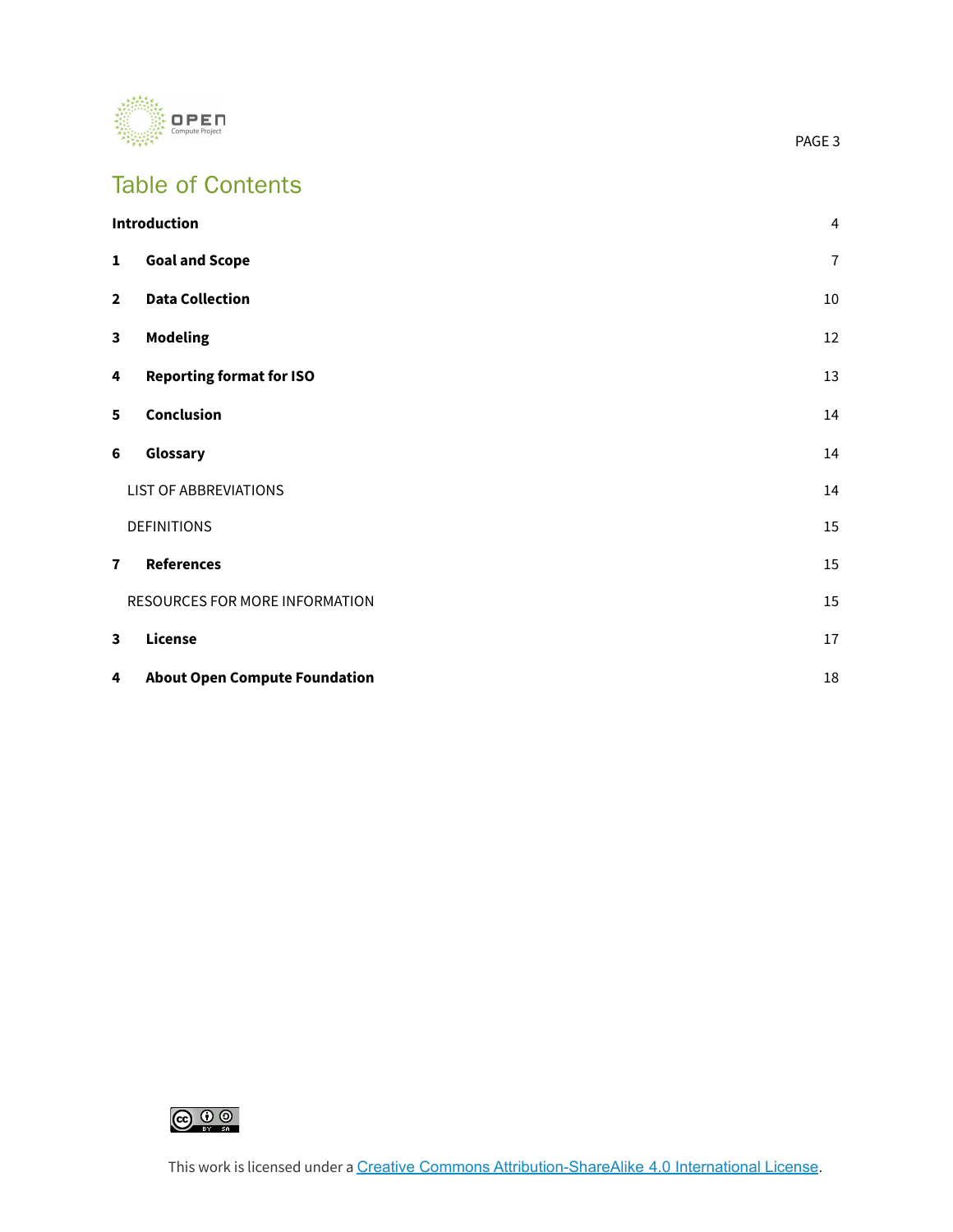

# Table of Contents

|                         | <b>Introduction</b>                  | 4              |
|-------------------------|--------------------------------------|----------------|
| 1                       | <b>Goal and Scope</b>                | $\overline{1}$ |
| $\overline{\mathbf{2}}$ | <b>Data Collection</b>               | 10             |
| 3                       | <b>Modeling</b>                      | 12             |
| 4                       | <b>Reporting format for ISO</b>      | 13             |
| 5                       | Conclusion                           | 14             |
| 6                       | Glossary                             | 14             |
|                         | <b>LIST OF ABBREVIATIONS</b>         | 14             |
|                         | <b>DEFINITIONS</b>                   | 15             |
| $\overline{\mathbf{r}}$ | <b>References</b>                    | 15             |
|                         | RESOURCES FOR MORE INFORMATION       | 15             |
| 3                       | License                              | 17             |
| 4                       | <b>About Open Compute Foundation</b> | 18             |

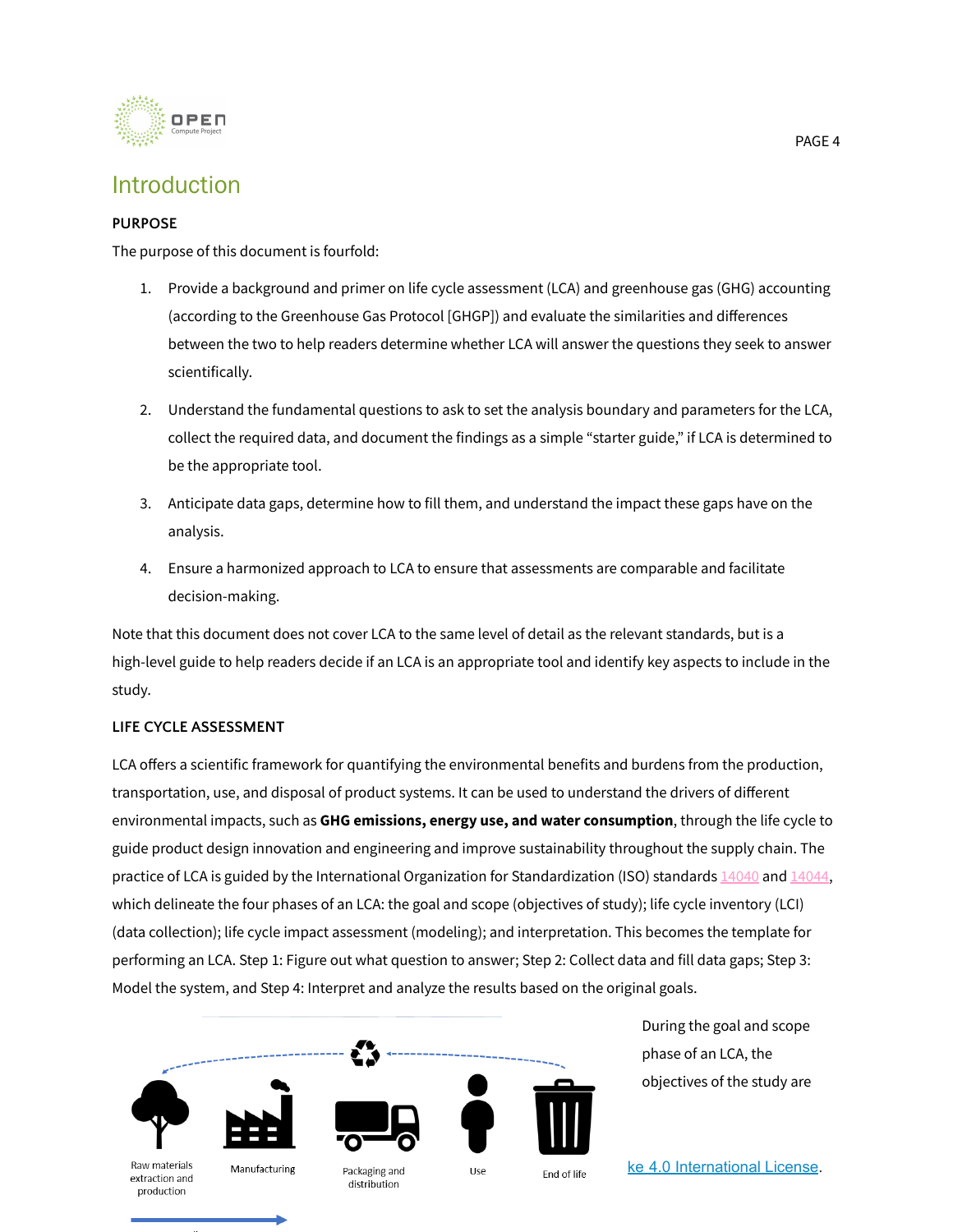

### <span id="page-3-0"></span>Introduction

### **PURPOSE**

The purpose of this document is fourfold:

- 1. Provide a background and primer on life cycle assessment (LCA) and greenhouse gas (GHG) accounting (according to the Greenhouse Gas Protocol [GHGP]) and evaluate the similarities and differences between the two to help readers determine whether LCA will answer the questions they seek to answer scientifically.
- 2. Understand the fundamental questions to ask to set the analysis boundary and parameters for the LCA, collect the required data, and document the findings as a simple "starter guide," if LCA is determined to be the appropriate tool.
- 3. Anticipate data gaps, determine how to fill them, and understand the impact these gaps have on the analysis.
- 4. Ensure a harmonized approach to LCA to ensure that assessments are comparable and facilitate decision-making.

Note that this document does not cover LCA to the same level of detail as the relevant standards, but is a high-level guide to help readers decide if an LCA is an appropriate tool and identify key aspects to include in the study.

### **LIFE CYCLE ASSESSMENT**

LCA offers a scientific framework for quantifying the environmental benefits and burdens from the production, transportation, use, and disposal of product systems. It can be used to understand the drivers of different environmental impacts, such as **GHG emissions, energy use, and water consumption**, through the life cycle to guide product design innovation and engineering and improve sustainability throughout the supply chain. The practice of LCA is guided by the International Organization for Standardization (ISO) standards [14040](https://www.iso.org/standard/37456.html) and [14044,](https://www.iso.org/standard/38498.html) which delineate the four phases of an LCA: the goal and scope (objectives of study); life cycle inventory (LCI) (data collection); life cycle impact assessment (modeling); and interpretation. This becomes the template for performing an LCA. Step 1: Figure out what question to answer; Step 2: Collect data and fill data gaps; Step 3: Model the system, and Step 4: Interpret and analyze the results based on the original goals.



During the goal and scope phase of an LCA, the objectives of the study are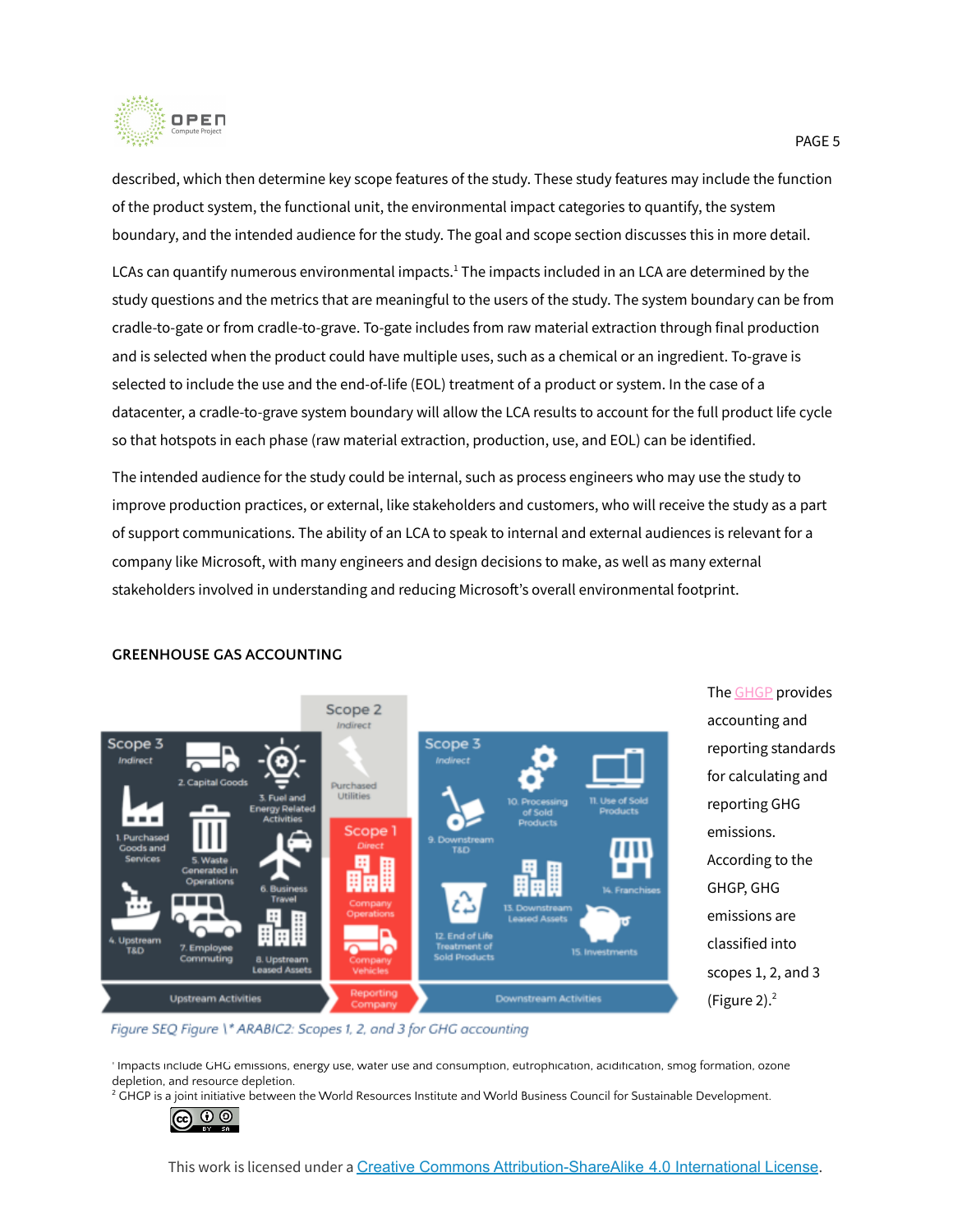

described, which then determine key scope features of the study. These study features may include the function of the product system, the functional unit, the environmental impact categories to quantify, the system boundary, and the intended audience for the study. The goal and scope section discusses this in more detail.

LCAs can quantify numerous environmental impacts. $^1$  The impacts included in an LCA are determined by the study questions and the metrics that are meaningful to the users of the study. The system boundary can be from cradle-to-gate or from cradle-to-grave. To-gate includes from raw material extraction through final production and is selected when the product could have multiple uses, such as a chemical or an ingredient. To-grave is selected to include the use and the end-of-life (EOL) treatment of a product or system. In the case of a datacenter, a cradle-to-grave system boundary will allow the LCA results to account for the full product life cycle so that hotspots in each phase (raw material extraction, production, use, and EOL) can be identified.

The intended audience for the study could be internal, such as process engineers who may use the study to improve production practices, or external, like stakeholders and customers, who will receive the study as a part of support communications. The ability of an LCA to speak to internal and external audiences is relevant for a company like Microsoft, with many engineers and design decisions to make, as well as many external stakeholders involved in understanding and reducing Microsoft's overall environmental footprint.



The [GHGP](https://www.wri.org/initiatives/greenhouse-gas-protocol) provides accounting and reporting standards for calculating and reporting GHG emissions. According to the GHGP, GHG emissions are classified into scopes 1, 2, and 3 (Figure 2). 2

#### **GREENHOUSE GAS ACCOUNTING**

Figure SEQ Figure \\* ARABIC2: Scopes 1, 2, and 3 for GHG accounting

Impacts include GHG emissions, energy use, water use and consumption, eutrophication, acidification, smog formation, ozone depletion, and resource depletion.

<sup>2</sup> GHGP is a joint initiative between the World Resources Institute and World Business Council for Sustainable Development.

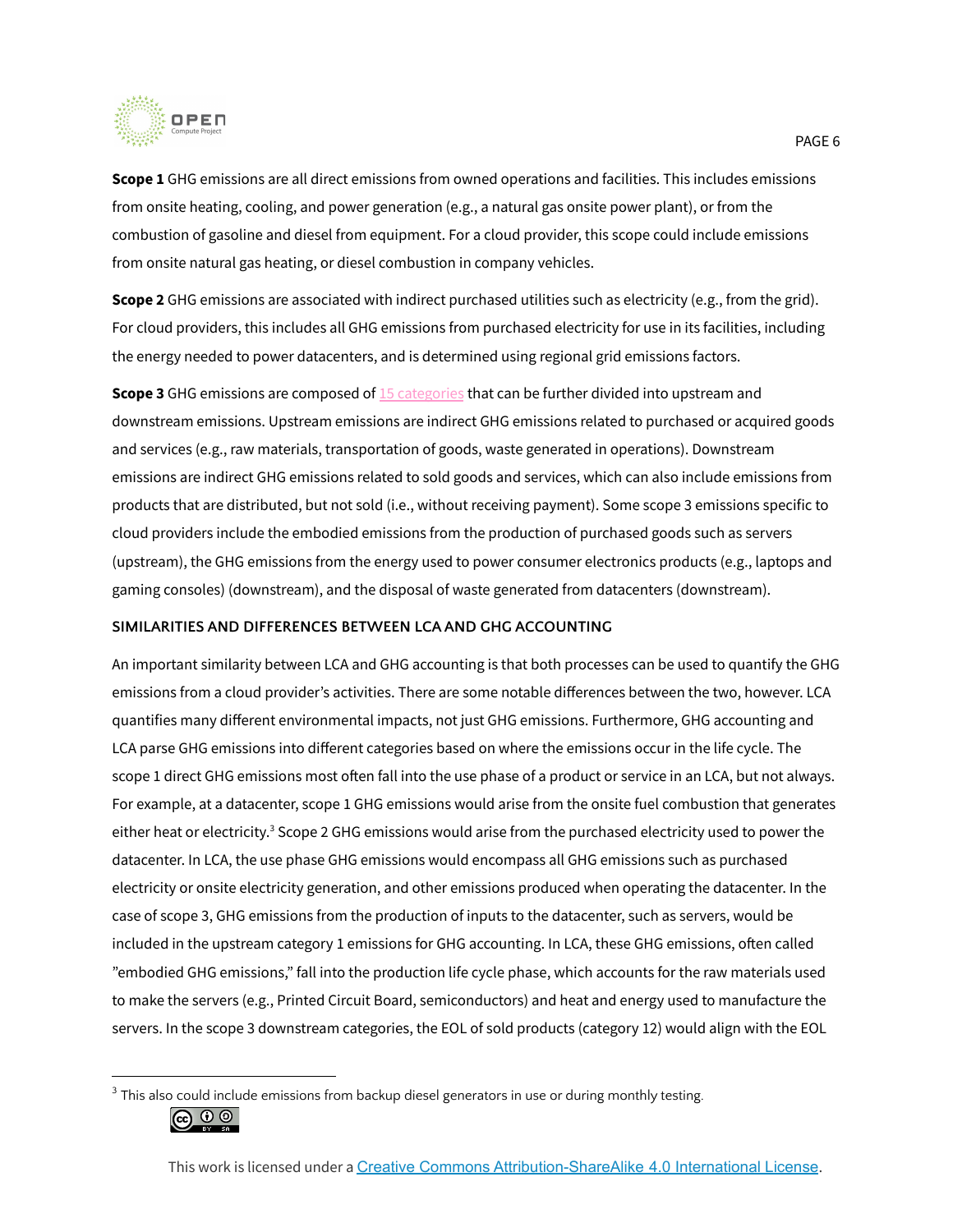

**Scope 1** GHG emissions are all direct emissions from owned operations and facilities. This includes emissions from onsite heating, cooling, and power generation (e.g., a natural gas onsite power plant), or from the combustion of gasoline and diesel from equipment. For a cloud provider, this scope could include emissions from onsite natural gas heating, or diesel combustion in company vehicles.

**Scope 2** GHG emissions are associated with indirect purchased utilities such as electricity (e.g., from the grid). For cloud providers, this includes all GHG emissions from purchased electricity for use in its facilities, including the energy needed to power datacenters, and is determined using regional grid emissions factors.

**Scope 3** GHG emissions are composed of 15 [categories](https://ghgprotocol.org/scope-3-technical-calculation-guidance) that can be further divided into upstream and downstream emissions. Upstream emissions are indirect GHG emissions related to purchased or acquired goods and services (e.g., raw materials, transportation of goods, waste generated in operations). Downstream emissions are indirect GHG emissions related to sold goods and services, which can also include emissions from products that are distributed, but not sold (i.e., without receiving payment). Some scope 3 emissions specific to cloud providers include the embodied emissions from the production of purchased goods such as servers (upstream), the GHG emissions from the energy used to power consumer electronics products (e.g., laptops and gaming consoles) (downstream), and the disposal of waste generated from datacenters (downstream).

#### **SIMILARITIES AND DIFFERENCES BETWEEN LCA AND GHG ACCOUNTING**

An important similarity between LCA and GHG accounting is that both processes can be used to quantify the GHG emissions from a cloud provider's activities. There are some notable differences between the two, however. LCA quantifies many different environmental impacts, not just GHG emissions. Furthermore, GHG accounting and LCA parse GHG emissions into different categories based on where the emissions occur in the life cycle. The scope 1 direct GHG emissions most often fall into the use phase of a product or service in an LCA, but not always. For example, at a datacenter, scope 1 GHG emissions would arise from the onsite fuel combustion that generates either heat or electricity.<sup>3</sup> Scope 2 GHG emissions would arise from the purchased electricity used to power the datacenter. In LCA, the use phase GHG emissions would encompass all GHG emissions such as purchased electricity or onsite electricity generation, and other emissions produced when operating the datacenter. In the case of scope 3, GHG emissions from the production of inputs to the datacenter, such as servers, would be included in the upstream category 1 emissions for GHG accounting. In LCA, these GHG emissions, often called "embodied GHG emissions," fall into the production life cycle phase, which accounts for the raw materials used to make the servers (e.g., Printed Circuit Board, semiconductors) and heat and energy used to manufacture the servers. In the scope 3 downstream categories, the EOL of sold products (category 12) would align with the EOL

 $3$  This also could include emissions from backup diesel generators in use or during monthly testing.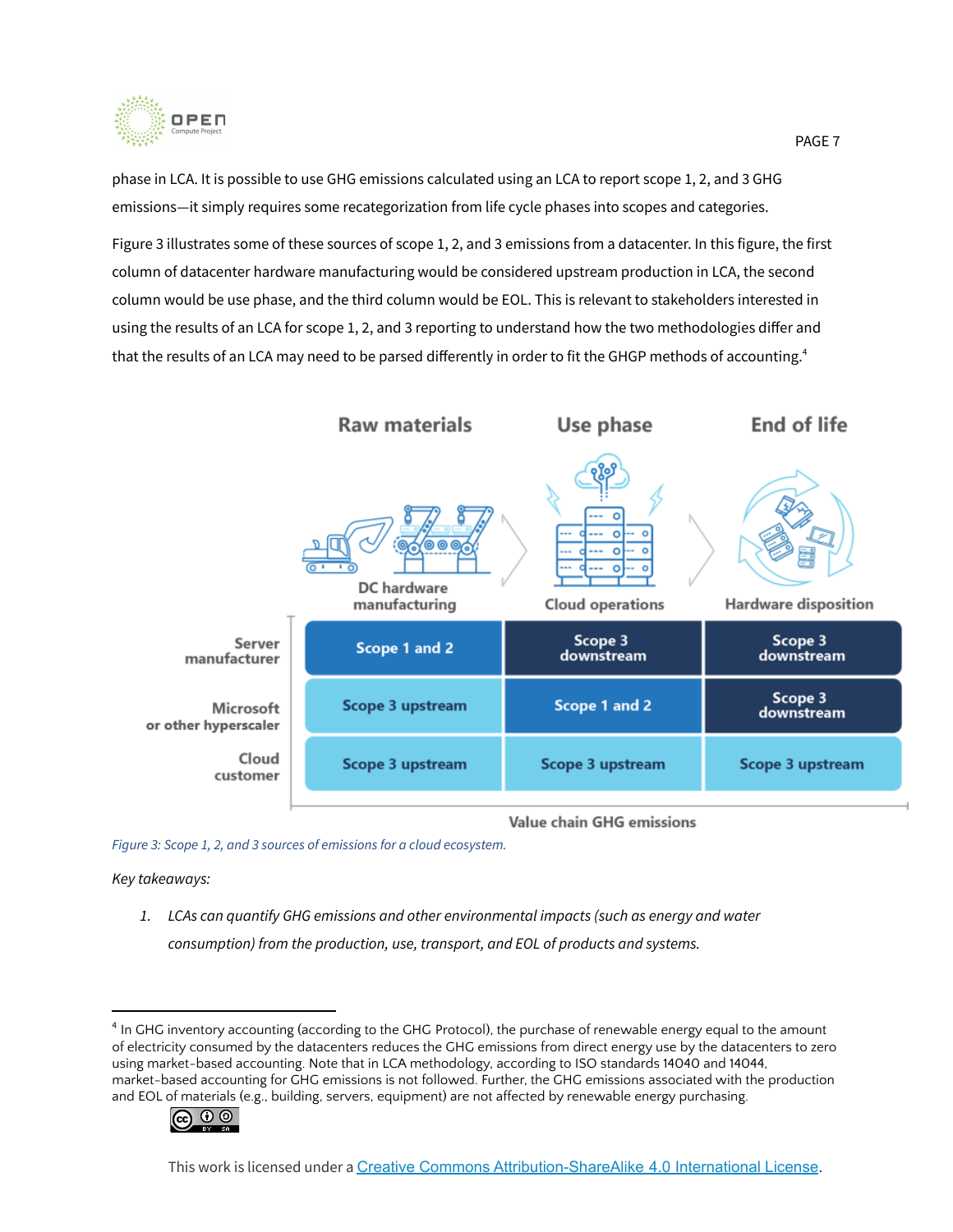

phase in LCA. It is possible to use GHG emissions calculated using an LCA to report scope 1, 2, and 3 GHG emissions—it simply requires some recategorization from life cycle phases into scopes and categories.

Figure 3 illustrates some of these sources of scope 1, 2, and 3 emissions from a datacenter. In this figure, the first column of datacenter hardware manufacturing would be considered upstream production in LCA, the second column would be use phase, and the third column would be EOL. This is relevant to stakeholders interested in using the results of an LCA for scope 1, 2, and 3 reporting to understand how the two methodologies differ and that the results of an LCA may need to be parsed differently in order to fit the GHGP methods of accounting. 4



Value chain GHG emissions

*Figure 3: Scope 1, 2, and 3 sources of emissions for a cloud ecosystem.*

*Key takeaways:*

*1. LCAs can quantify GHG emissions and other environmental impacts (such as energy and water consumption) from the production, use, transport, and EOL of products and systems.*

<sup>&</sup>lt;sup>4</sup> In GHG inventory accounting (according to the GHG Protocol), the purchase of renewable energy equal to the amount of electricity consumed by the datacenters reduces the GHG emissions from direct energy use by the datacenters to zero using market-based accounting. Note that in LCA methodology, according to ISO standards 14040 and 14044, market-based accounting for GHG emissions is not followed. Further, the GHG emissions associated with the production and EOL of materials (e.g., building, servers, equipment) are not affected by renewable energy purchasing.

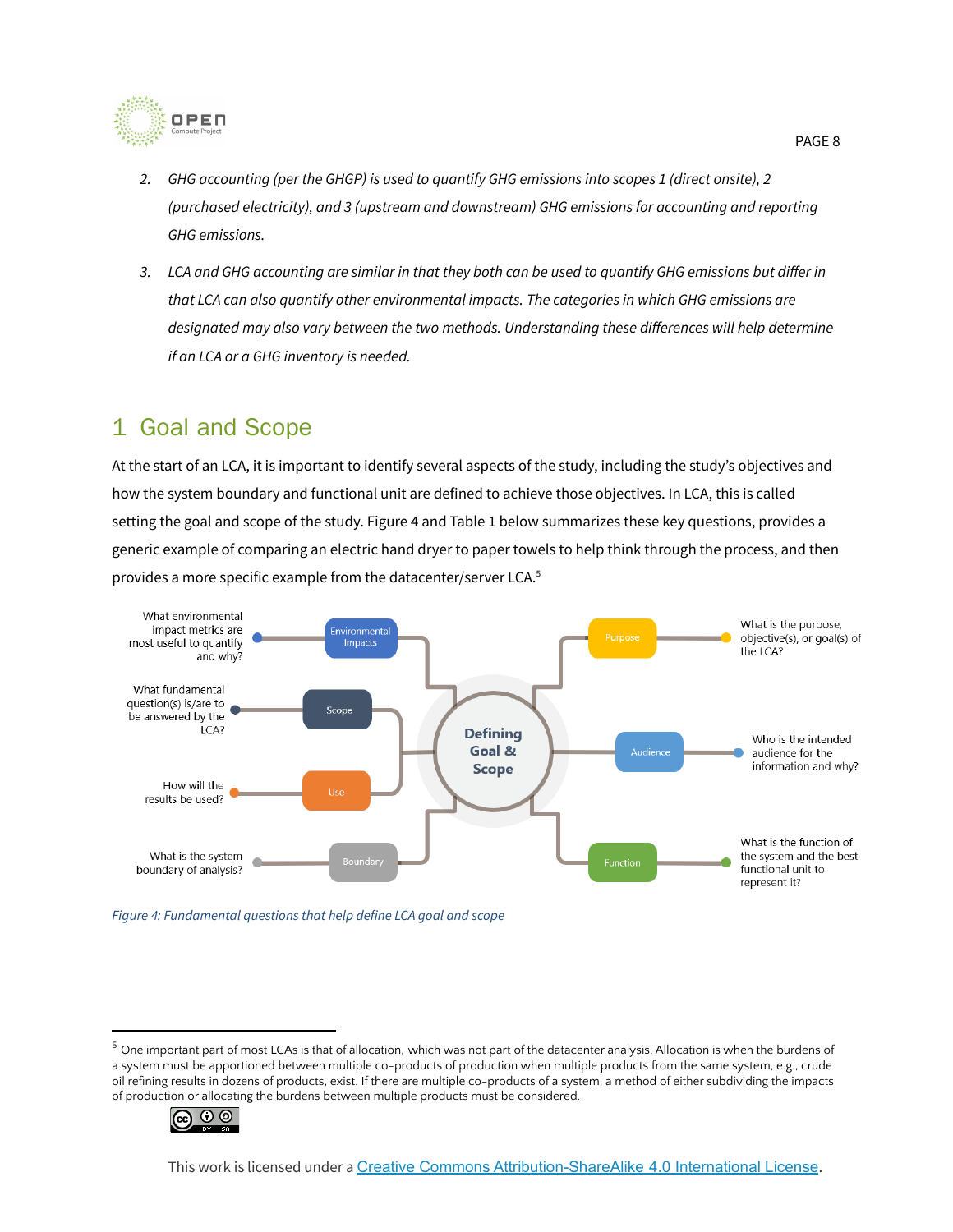

- 2. GHG accounting (per the GHGP) is used to quantify GHG emissions into scopes 1 (direct onsite), 2 *(purchased electricity), and 3 (upstream and downstream) GHG emissions for accounting and reporting GHG emissions.*
- 3. LCA and GHG accounting are similar in that they both can be used to quantify GHG emissions but differ in *that LCA can also quantify other environmental impacts. The categories in which GHG emissions are designated may also vary between the two methods. Understanding these differences will help determine if an LCA or a GHG inventory is needed.*

### <span id="page-7-0"></span>1 Goal and Scope

At the start of an LCA, it is important to identify several aspects of the study, including the study's objectives and how the system boundary and functional unit are defined to achieve those objectives. In LCA, this is called setting the goal and scope of the study. Figure 4 and Table 1 below summarizes these key questions, provides a generic example of comparing an electric hand dryer to paper towels to help think through the process, and then provides a more specific example from the datacenter/server LCA. 5



*Figure 4: Fundamental questions that help define LCA goal and scope*

 $5$  One important part of most LCAs is that of allocation, which was not part of the datacenter analysis. Allocation is when the burdens of a system must be apportioned between multiple co-products of production when multiple products from the same system, e.g., crude oil refining results in dozens of products, exist. If there are multiple co-products of a system, a method of either subdividing the impacts of production or allocating the burdens between multiple products must be considered.

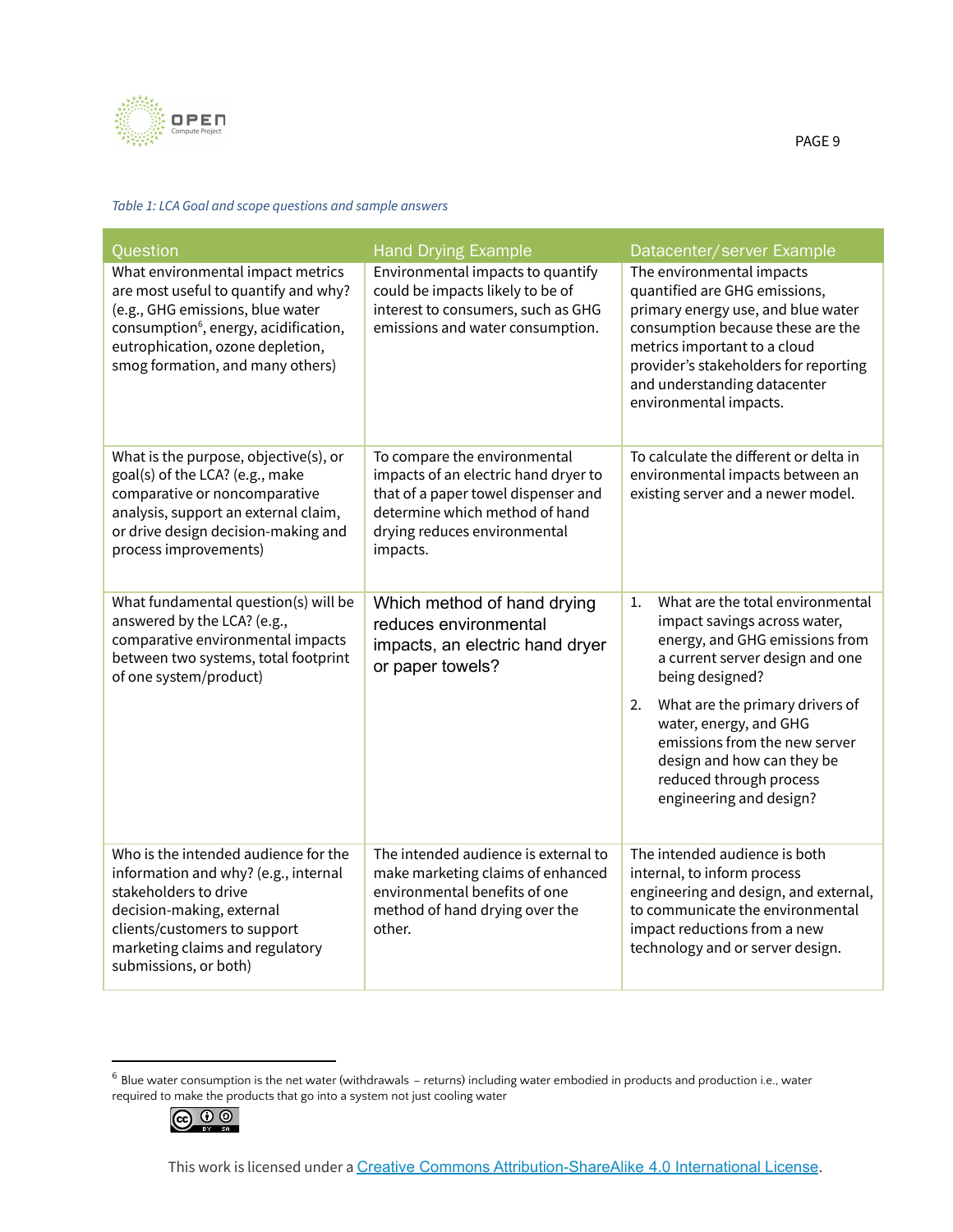

#### *Table 1: LCA Goal and scope questions and sample answers*

| Question                                                                                                                                                                                                                                   | <b>Hand Drying Example</b>                                                                                                                                                                | Datacenter/server Example                                                                                                                                                                                                                                                |
|--------------------------------------------------------------------------------------------------------------------------------------------------------------------------------------------------------------------------------------------|-------------------------------------------------------------------------------------------------------------------------------------------------------------------------------------------|--------------------------------------------------------------------------------------------------------------------------------------------------------------------------------------------------------------------------------------------------------------------------|
| What environmental impact metrics<br>are most useful to quantify and why?<br>(e.g., GHG emissions, blue water<br>consumption <sup>6</sup> , energy, acidification,<br>eutrophication, ozone depletion,<br>smog formation, and many others) | Environmental impacts to quantify<br>could be impacts likely to be of<br>interest to consumers, such as GHG<br>emissions and water consumption.                                           | The environmental impacts<br>quantified are GHG emissions,<br>primary energy use, and blue water<br>consumption because these are the<br>metrics important to a cloud<br>provider's stakeholders for reporting<br>and understanding datacenter<br>environmental impacts. |
| What is the purpose, objective(s), or<br>goal(s) of the LCA? (e.g., make<br>comparative or noncomparative<br>analysis, support an external claim,<br>or drive design decision-making and<br>process improvements)                          | To compare the environmental<br>impacts of an electric hand dryer to<br>that of a paper towel dispenser and<br>determine which method of hand<br>drying reduces environmental<br>impacts. | To calculate the different or delta in<br>environmental impacts between an<br>existing server and a newer model.                                                                                                                                                         |
| What fundamental question(s) will be<br>answered by the LCA? (e.g.,<br>comparative environmental impacts<br>between two systems, total footprint<br>of one system/product)                                                                 | Which method of hand drying<br>reduces environmental<br>impacts, an electric hand dryer<br>or paper towels?                                                                               | What are the total environmental<br>1.<br>impact savings across water,<br>energy, and GHG emissions from<br>a current server design and one<br>being designed?                                                                                                           |
|                                                                                                                                                                                                                                            |                                                                                                                                                                                           | What are the primary drivers of<br>2.<br>water, energy, and GHG<br>emissions from the new server<br>design and how can they be<br>reduced through process<br>engineering and design?                                                                                     |
| Who is the intended audience for the<br>information and why? (e.g., internal<br>stakeholders to drive<br>decision-making, external<br>clients/customers to support<br>marketing claims and regulatory<br>submissions, or both)             | The intended audience is external to<br>make marketing claims of enhanced<br>environmental benefits of one<br>method of hand drying over the<br>other.                                    | The intended audience is both<br>internal, to inform process<br>engineering and design, and external,<br>to communicate the environmental<br>impact reductions from a new<br>technology and or server design.                                                            |

 $6$  Blue water consumption is the net water (withdrawals – returns) including water embodied in products and production i.e., water required to make the products that go into a system not just cooling water

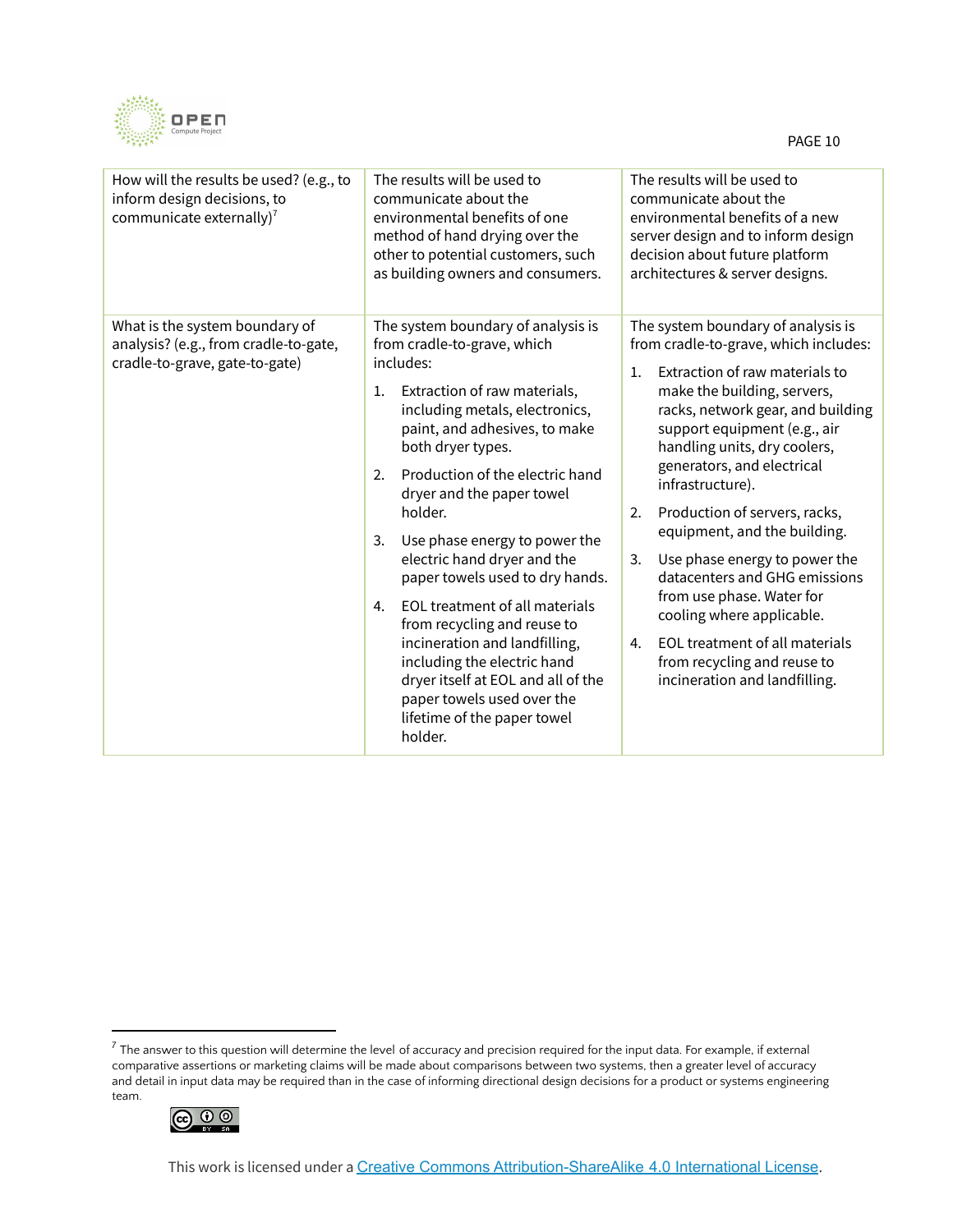

| How will the results be used? (e.g., to<br>inform design decisions, to<br>communicate externally) <sup>7</sup> | The results will be used to<br>communicate about the<br>environmental benefits of one<br>method of hand drying over the<br>other to potential customers, such<br>as building owners and consumers.                                                                                                                                                                                                                                                                                                                                                                                                                                                          | The results will be used to<br>communicate about the<br>environmental benefits of a new<br>server design and to inform design<br>decision about future platform<br>architectures & server designs.                                                                                                                                                                                                                                                                                                                                                                                                                         |
|----------------------------------------------------------------------------------------------------------------|-------------------------------------------------------------------------------------------------------------------------------------------------------------------------------------------------------------------------------------------------------------------------------------------------------------------------------------------------------------------------------------------------------------------------------------------------------------------------------------------------------------------------------------------------------------------------------------------------------------------------------------------------------------|----------------------------------------------------------------------------------------------------------------------------------------------------------------------------------------------------------------------------------------------------------------------------------------------------------------------------------------------------------------------------------------------------------------------------------------------------------------------------------------------------------------------------------------------------------------------------------------------------------------------------|
| What is the system boundary of<br>analysis? (e.g., from cradle-to-gate,<br>cradle-to-grave, gate-to-gate)      | The system boundary of analysis is<br>from cradle-to-grave, which<br>includes:<br>Extraction of raw materials,<br>1.<br>including metals, electronics,<br>paint, and adhesives, to make<br>both dryer types.<br>Production of the electric hand<br>2.<br>dryer and the paper towel<br>holder.<br>3.<br>Use phase energy to power the<br>electric hand dryer and the<br>paper towels used to dry hands.<br>EOL treatment of all materials<br>4.<br>from recycling and reuse to<br>incineration and landfilling,<br>including the electric hand<br>dryer itself at EOL and all of the<br>paper towels used over the<br>lifetime of the paper towel<br>holder. | The system boundary of analysis is<br>from cradle-to-grave, which includes:<br>Extraction of raw materials to<br>1.<br>make the building, servers,<br>racks, network gear, and building<br>support equipment (e.g., air<br>handling units, dry coolers,<br>generators, and electrical<br>infrastructure).<br>Production of servers, racks,<br>2.<br>equipment, and the building.<br>Use phase energy to power the<br>3.<br>datacenters and GHG emissions<br>from use phase. Water for<br>cooling where applicable.<br>EOL treatment of all materials<br>4.<br>from recycling and reuse to<br>incineration and landfilling. |

 $^7$  The answer to this question will determine the level of accuracy and precision required for the input data. For example, if external comparative assertions or marketing claims will be made about comparisons between two systems, then a greater level of accuracy and detail in input data may be required than in the case of informing directional design decisions for a product or systems engineering team.

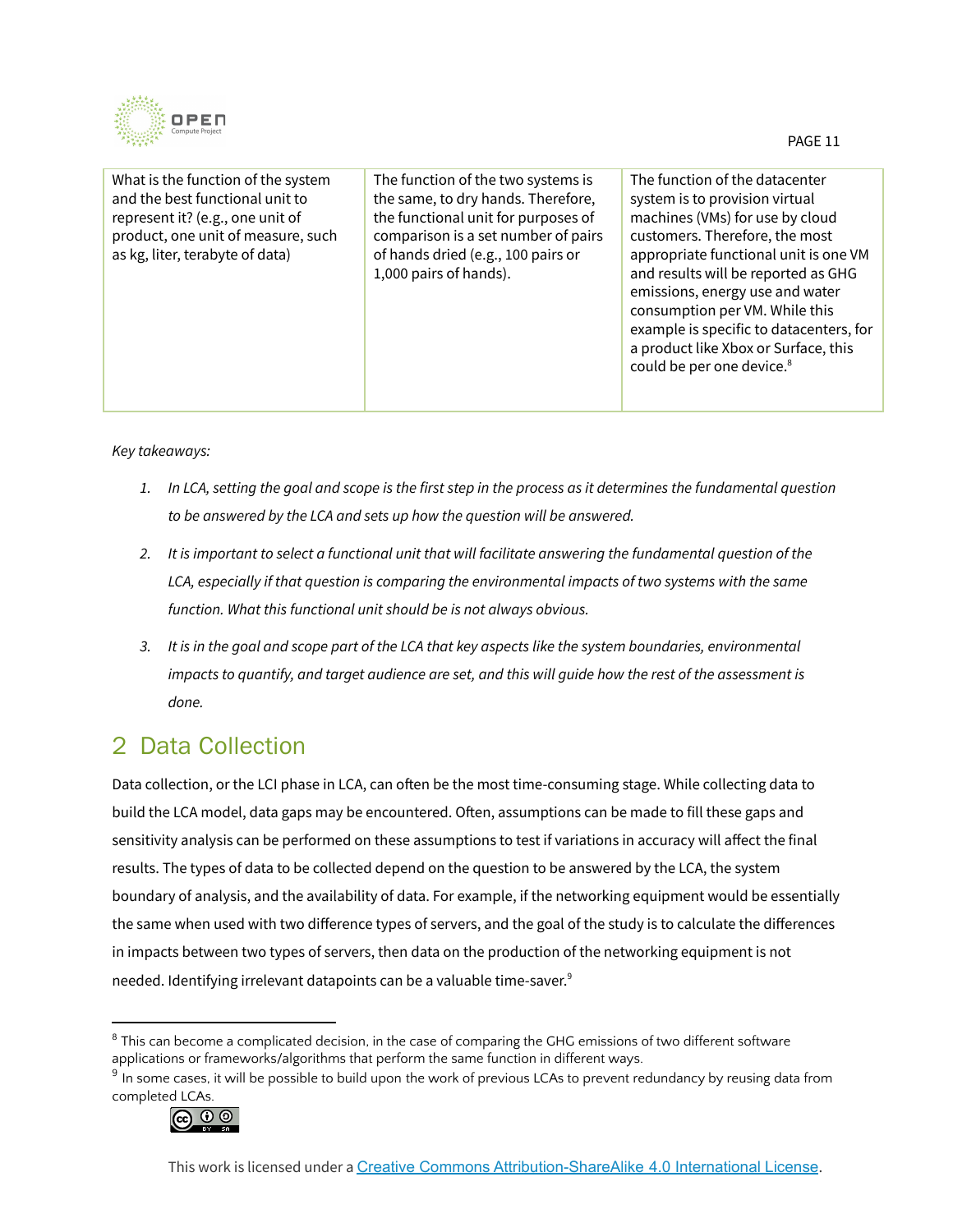

| What is the function of the system<br>and the best functional unit to<br>represent it? (e.g., one unit of<br>product, one unit of measure, such<br>as kg, liter, terabyte of data) | The function of the two systems is<br>the same, to dry hands. Therefore,<br>the functional unit for purposes of<br>comparison is a set number of pairs<br>of hands dried (e.g., 100 pairs or<br>1,000 pairs of hands). | The function of the datacenter<br>system is to provision virtual<br>machines (VMs) for use by cloud<br>customers. Therefore, the most<br>appropriate functional unit is one VM<br>and results will be reported as GHG<br>emissions, energy use and water<br>consumption per VM. While this<br>example is specific to datacenters, for<br>a product like Xbox or Surface, this<br>could be per one device. <sup>8</sup> |
|------------------------------------------------------------------------------------------------------------------------------------------------------------------------------------|------------------------------------------------------------------------------------------------------------------------------------------------------------------------------------------------------------------------|------------------------------------------------------------------------------------------------------------------------------------------------------------------------------------------------------------------------------------------------------------------------------------------------------------------------------------------------------------------------------------------------------------------------|
|                                                                                                                                                                                    |                                                                                                                                                                                                                        |                                                                                                                                                                                                                                                                                                                                                                                                                        |

#### *Key takeaways:*

- 1. In LCA, setting the goal and scope is the first step in the process as it determines the fundamental question *to be answered by the LCA and sets up how the question will be answered.*
- 2. It is important to select a functional unit that will facilitate answering the fundamental question of the *LCA, especially if that question is comparing the environmental impacts of two systems with the same function. What this functional unit should be is not always obvious.*
- 3. It is in the goal and scope part of the LCA that key aspects like the system boundaries, environmental impacts to quantify, and target audience are set, and this will guide how the rest of the assessment is *done.*

### <span id="page-10-0"></span>2 Data Collection

Data collection, or the LCI phase in LCA, can often be the most time-consuming stage. While collecting data to build the LCA model, data gaps may be encountered. Often, assumptions can be made to fill these gaps and sensitivity analysis can be performed on these assumptions to test if variations in accuracy will affect the final results. The types of data to be collected depend on the question to be answered by the LCA, the system boundary of analysis, and the availability of data. For example, if the networking equipment would be essentially the same when used with two difference types of servers, and the goal of the study is to calculate the differences in impacts between two types of servers, then data on the production of the networking equipment is not needed. Identifying irrelevant datapoints can be a valuable time-saver. 9

 $^9$  In some cases, it will be possible to build upon the work of previous LCAs to prevent redundancy by reusing data from completed LCAs.



 $8$  This can become a complicated decision, in the case of comparing the GHG emissions of two different software applications or frameworks/algorithms that perform the same function in different ways.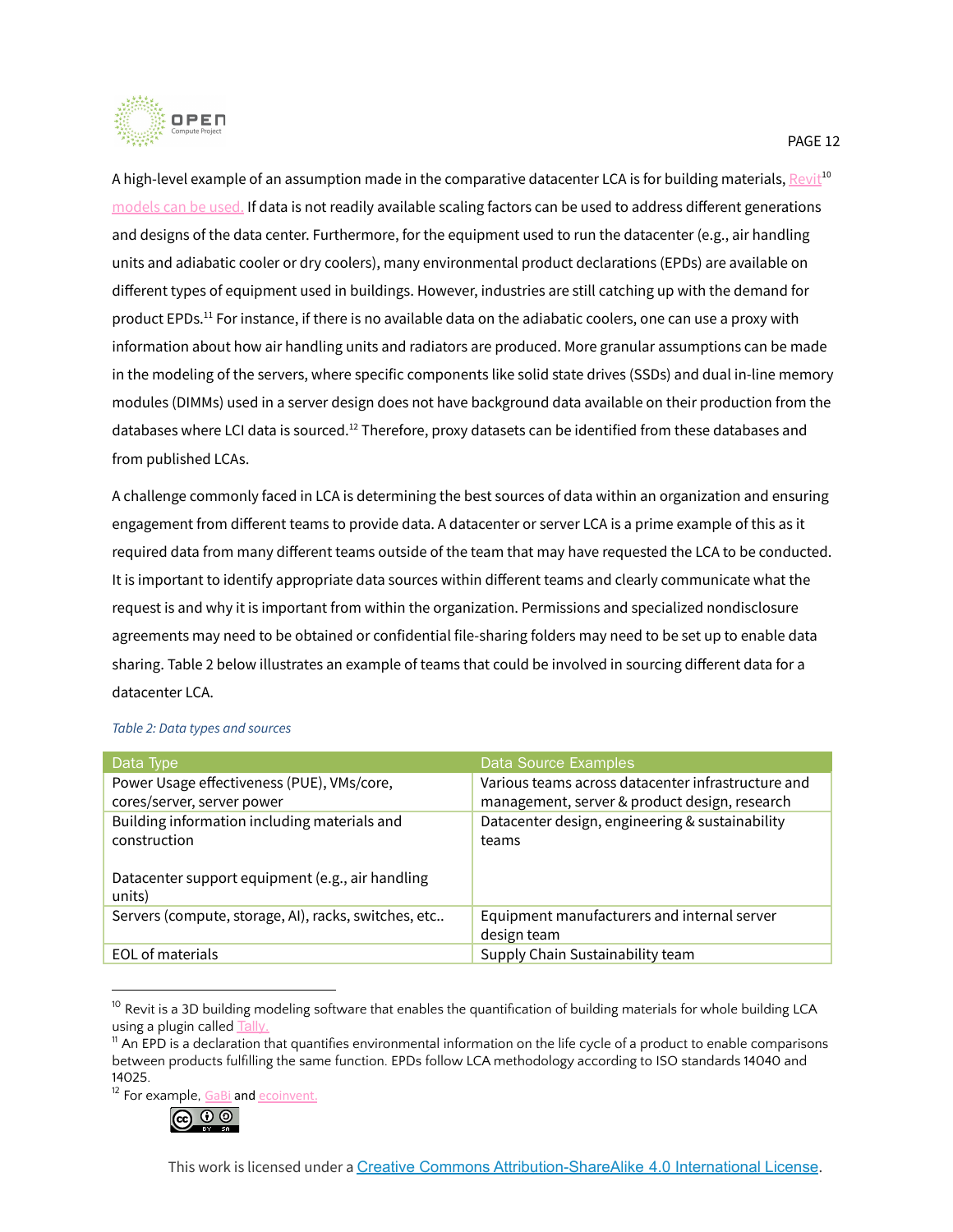

A high-level example of an assumption made in the comparative datacenter LCA is for building materials, <u>[Revit](https://www.autodesk.com/products/revit/overview?term=1-YEAR)<sup>10</sup></u> models can be used. If data is not readily available scaling factors can be used to address different generations and designs of the data center. Furthermore, for the equipment used to run the datacenter (e.g., air handling units and adiabatic cooler or dry coolers), many environmental product declarations (EPDs) are available on different types of equipment used in buildings. However, industries are still catching up with the demand for product EPDs.<sup>11</sup> For instance, if there is no available data on the adiabatic coolers, one can use a proxy with information about how air handling units and radiators are produced. More granular assumptions can be made in the modeling of the servers, where specific components like solid state drives (SSDs) and dual in-line memory modules (DIMMs) used in a server design does not have background data available on their production from the databases where LCI data is sourced. $^{12}$  Therefore, proxy datasets can be identified from these databases and from published LCAs.

A challenge commonly faced in LCA is determining the best sources of data within an organization and ensuring engagement from different teams to provide data. A datacenter or server LCA is a prime example of this as it required data from many different teams outside of the team that may have requested the LCA to be conducted. It is important to identify appropriate data sources within different teams and clearly communicate what the request is and why it is important from within the organization. Permissions and specialized nondisclosure agreements may need to be obtained or confidential file-sharing folders may need to be set up to enable data sharing. Table 2 below illustrates an example of teams that could be involved in sourcing different data for a datacenter LCA.

| Data Type                                                                                                                  | Data Source Examples                                                                                |
|----------------------------------------------------------------------------------------------------------------------------|-----------------------------------------------------------------------------------------------------|
| Power Usage effectiveness (PUE), VMs/core,<br>cores/server, server power                                                   | Various teams across datacenter infrastructure and<br>management, server & product design, research |
| Building information including materials and<br>construction<br>Datacenter support equipment (e.g., air handling<br>units) | Datacenter design, engineering & sustainability<br>teams                                            |
| Servers (compute, storage, AI), racks, switches, etc                                                                       | Equipment manufacturers and internal server<br>design team                                          |
| EOL of materials                                                                                                           | Supply Chain Sustainability team                                                                    |

#### *Table 2: Data types and sources*

<sup>12</sup> For example, [GaBi](https://gabi.sphera.com/databases/) and [ecoinvent](https://www.ecoinvent.org/).



PAGE 12

 $10$  Revit is a 3D building modeling software that enables the quantification of building materials for whole building LCA using a plugin called [Tally.](https://choosetally.com/)

 $11$  An EPD is a declaration that quantifies environmental information on the life cycle of a product to enable comparisons between products fulfilling the same function. EPDs follow LCA methodology according to ISO standards 14040 and 14025.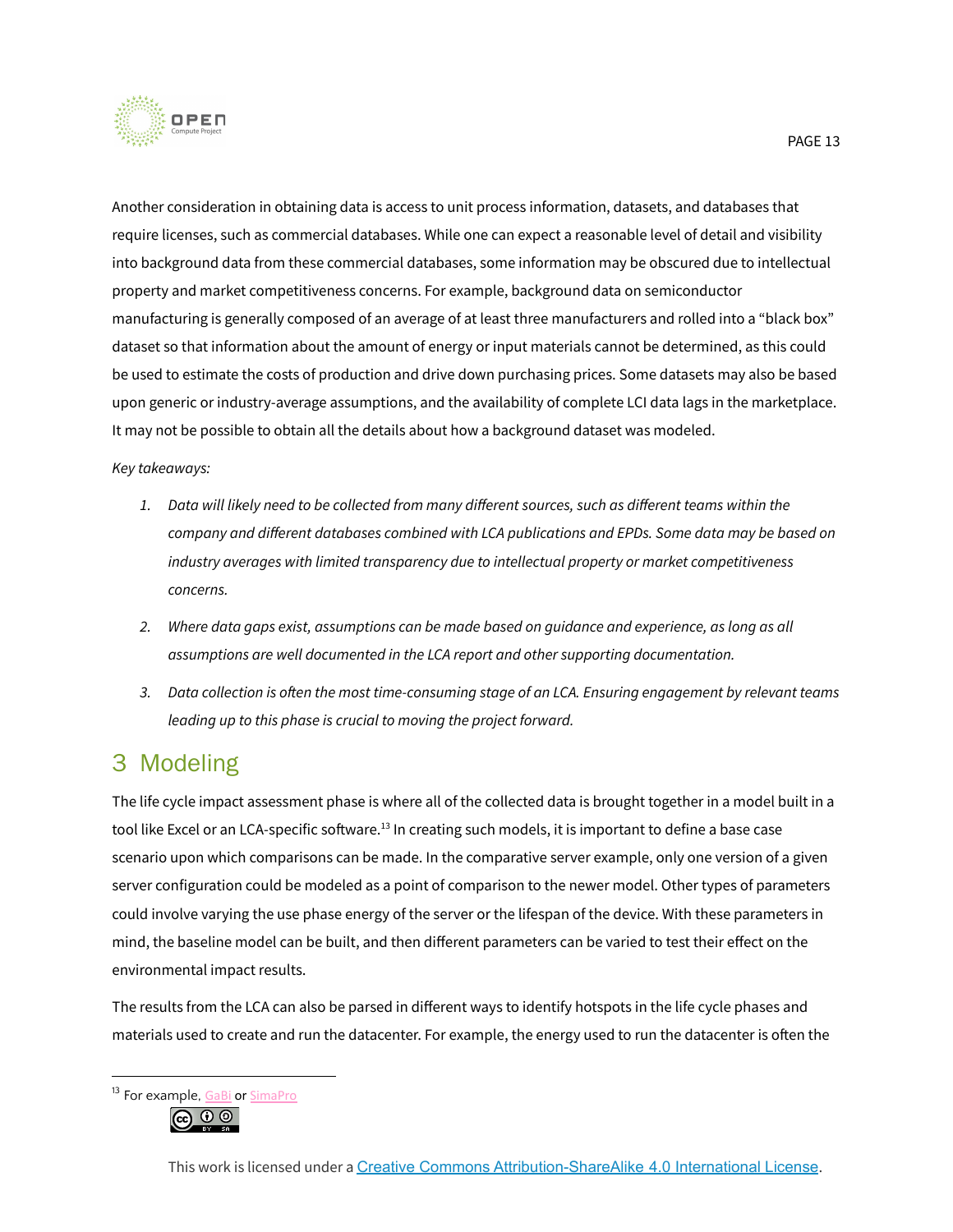

Another consideration in obtaining data is access to unit process information, datasets, and databases that require licenses, such as commercial databases. While one can expect a reasonable level of detail and visibility into background data from these commercial databases, some information may be obscured due to intellectual property and market competitiveness concerns. For example, background data on semiconductor manufacturing is generally composed of an average of at least three manufacturers and rolled into a "black box" dataset so that information about the amount of energy or input materials cannot be determined, as this could be used to estimate the costs of production and drive down purchasing prices. Some datasets may also be based upon generic or industry-average assumptions, and the availability of complete LCI data lags in the marketplace. It may not be possible to obtain all the details about how a background dataset was modeled.

#### *Key takeaways:*

- 1. Data will likely need to be collected from many different sources, such as different teams within the *company and different databases combined with LCA publications and EPDs. Some data may be based on industry averages with limited transparency due to intellectual property or market competitiveness concerns.*
- *2. Where data gaps exist, assumptions can be made based on guidance and experience, as long as all assumptions are well documented in the LCA report and other supporting documentation.*
- 3. Data collection is often the most time-consuming stage of an LCA. Ensuring engagement by relevant teams *leading up to this phase is crucial to moving the project forward.*

### <span id="page-12-0"></span>3 Modeling

The life cycle impact assessment phase is where all of the collected data is brought together in a model built in a tool like Excel or an LCA-specific software.<sup>13</sup> In creating such models, it is important to define a base case scenario upon which comparisons can be made. In the comparative server example, only one version of a given server configuration could be modeled as a point of comparison to the newer model. Other types of parameters could involve varying the use phase energy of the server or the lifespan of the device. With these parameters in mind, the baseline model can be built, and then different parameters can be varied to test their effect on the environmental impact results.

The results from the LCA can also be parsed in different ways to identify hotspots in the life cycle phases and materials used to create and run the datacenter. For example, the energy used to run the datacenter is often the

<sup>&</sup>lt;sup>13</sup> For example, [GaBi](https://gabi.sphera.com/america/index/) or [SimaPro](https://simapro.com/)

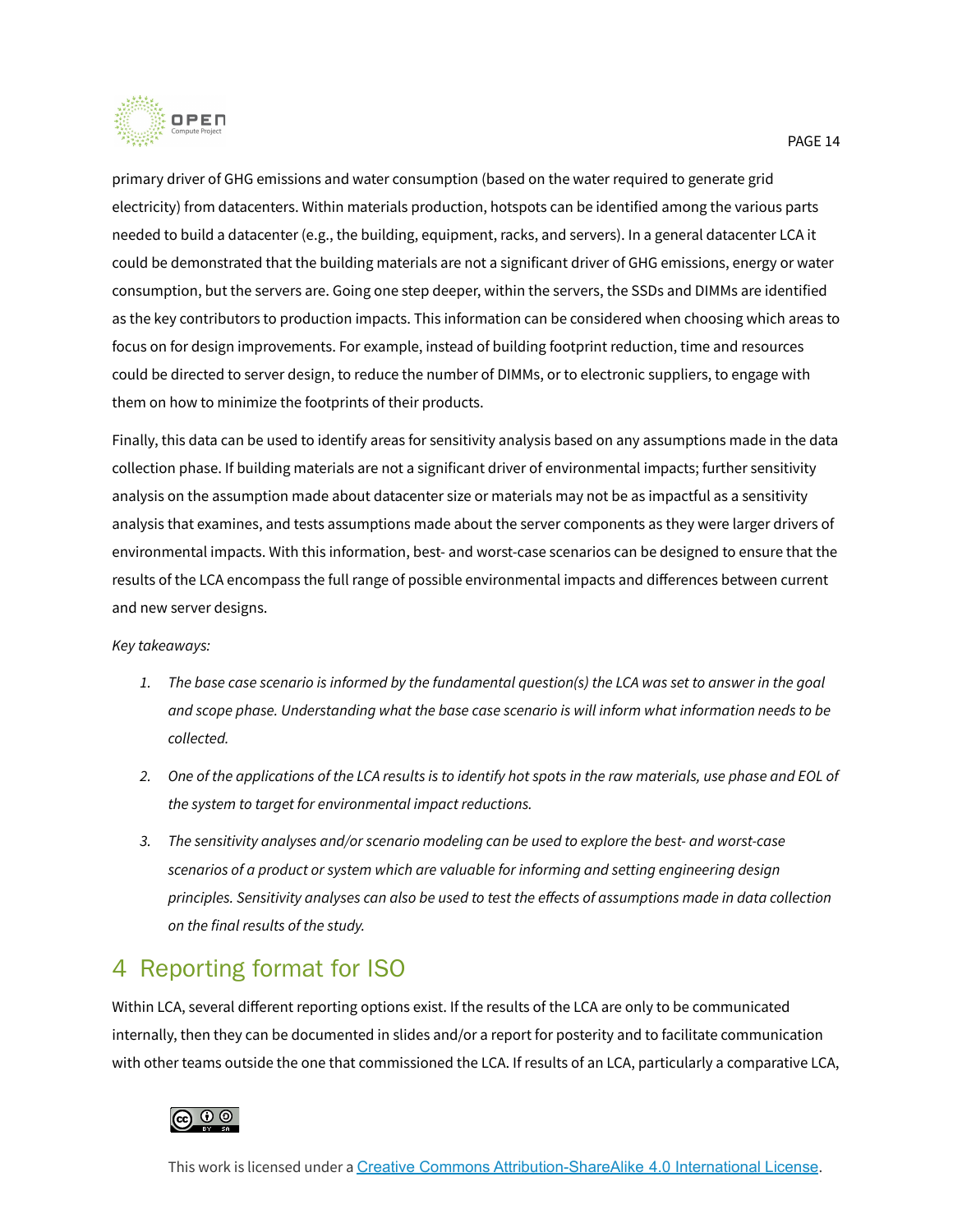

primary driver of GHG emissions and water consumption (based on the water required to generate grid electricity) from datacenters. Within materials production, hotspots can be identified among the various parts needed to build a datacenter (e.g., the building, equipment, racks, and servers). In a general datacenter LCA it could be demonstrated that the building materials are not a significant driver of GHG emissions, energy or water consumption, but the servers are. Going one step deeper, within the servers, the SSDs and DIMMs are identified as the key contributors to production impacts. This information can be considered when choosing which areas to focus on for design improvements. For example, instead of building footprint reduction, time and resources could be directed to server design, to reduce the number of DIMMs, or to electronic suppliers, to engage with them on how to minimize the footprints of their products.

Finally, this data can be used to identify areas for sensitivity analysis based on any assumptions made in the data collection phase. If building materials are not a significant driver of environmental impacts; further sensitivity analysis on the assumption made about datacenter size or materials may not be as impactful as a sensitivity analysis that examines, and tests assumptions made about the server components as they were larger drivers of environmental impacts. With this information, best- and worst-case scenarios can be designed to ensure that the results of the LCA encompass the full range of possible environmental impacts and differences between current and new server designs.

#### *Key takeaways:*

- 1. The base case scenario is informed by the fundamental question(s) the LCA was set to answer in the goal *and scope phase. Understanding what the base case scenario is will inform what information needs to be collected.*
- 2. One of the applications of the LCA results is to identify hot spots in the raw materials, use phase and EOL of *the system to target for environmental impact reductions.*
- *3. The sensitivity analyses and/or scenario modeling can be used to explore the best- and worst-case scenarios of a product or system which are valuable for informing and setting engineering design* principles. Sensitivity analyses can also be used to test the effects of assumptions made in data collection *on the final results of the study.*

### <span id="page-13-0"></span>4 Reporting format for ISO

Within LCA, several different reporting options exist. If the results of the LCA are only to be communicated internally, then they can be documented in slides and/or a report for posterity and to facilitate communication with other teams outside the one that commissioned the LCA. If results of an LCA, particularly a comparative LCA,

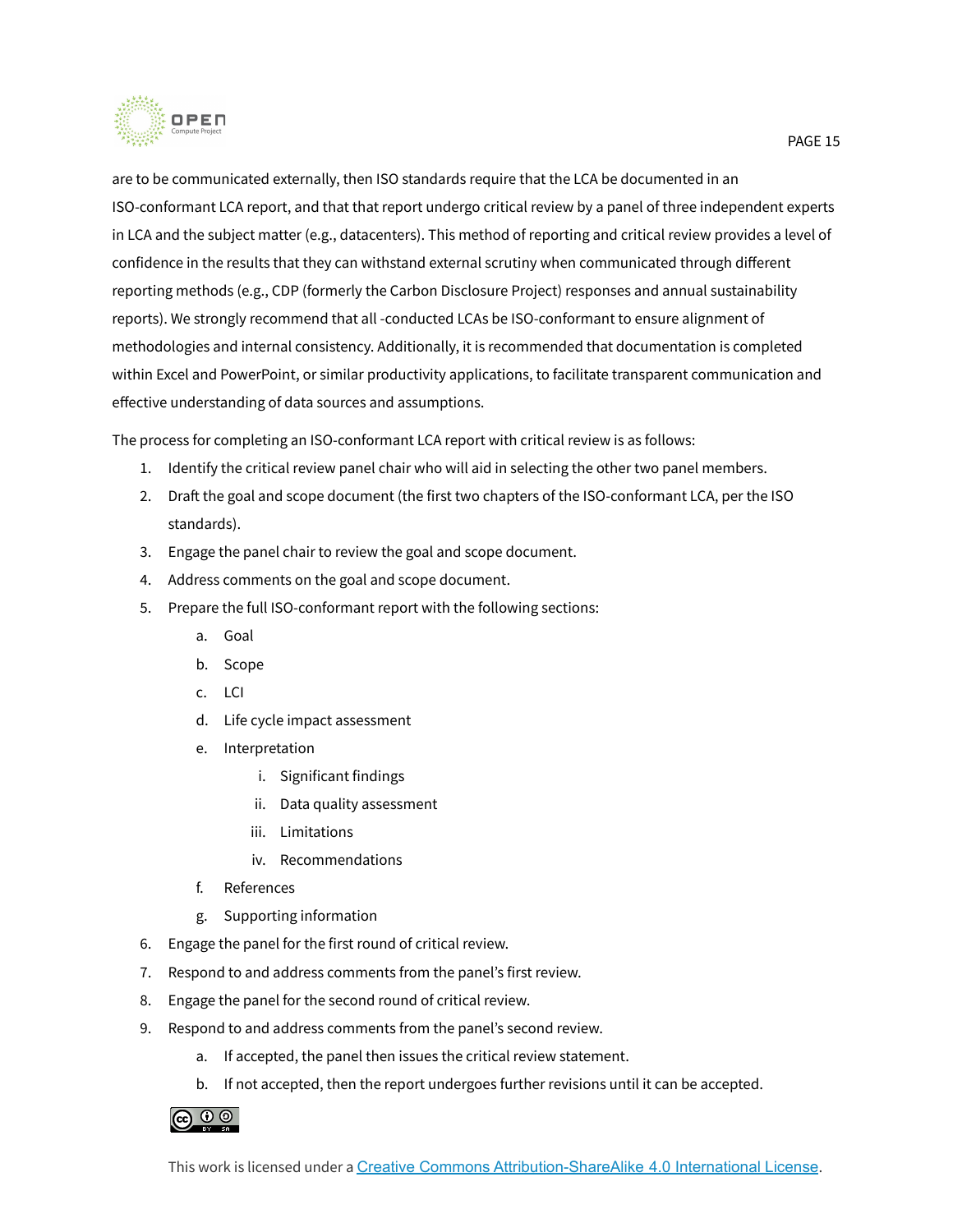

are to be communicated externally, then ISO standards require that the LCA be documented in an ISO-conformant LCA report, and that that report undergo critical review by a panel of three independent experts in LCA and the subject matter (e.g., datacenters). This method of reporting and critical review provides a level of confidence in the results that they can withstand external scrutiny when communicated through different reporting methods (e.g., CDP (formerly the Carbon Disclosure Project) responses and annual sustainability reports). We strongly recommend that all -conducted LCAs be ISO-conformant to ensure alignment of methodologies and internal consistency. Additionally, it is recommended that documentation is completed within Excel and PowerPoint, or similar productivity applications, to facilitate transparent communication and effective understanding of data sources and assumptions.

The process for completing an ISO-conformant LCA report with critical review is as follows:

- 1. Identify the critical review panel chair who will aid in selecting the other two panel members.
- 2. Draft the goal and scope document (the first two chapters of the ISO-conformant LCA, per the ISO standards).
- 3. Engage the panel chair to review the goal and scope document.
- 4. Address comments on the goal and scope document.
- 5. Prepare the full ISO-conformant report with the following sections:
	- a. Goal
	- b. Scope
	- c. LCI
	- d. Life cycle impact assessment
	- e. Interpretation
		- i. Significant findings
		- ii. Data quality assessment
		- iii. Limitations
		- iv. Recommendations
	- f. References
	- g. Supporting information
- 6. Engage the panel for the first round of critical review.
- 7. Respond to and address comments from the panel's first review.
- 8. Engage the panel for the second round of critical review.
- 9. Respond to and address comments from the panel's second review.
	- a. If accepted, the panel then issues the critical review statement.
	- b. If not accepted, then the report undergoes further revisions until it can be accepted.

### බ 0 ම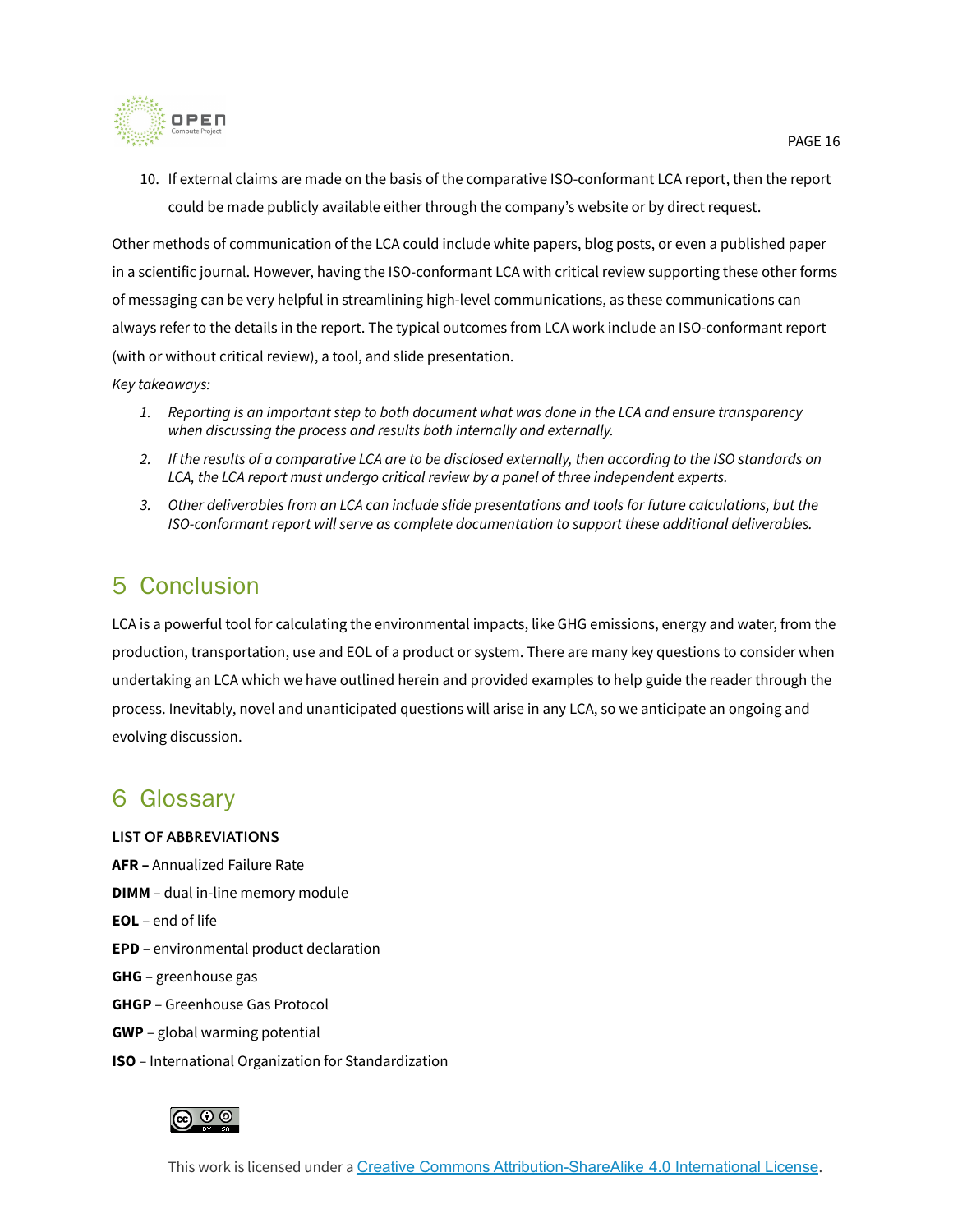

10. If external claims are made on the basis of the comparative ISO-conformant LCA report, then the report could be made publicly available either through the company's website or by direct request.

Other methods of communication of the LCA could include white papers, blog posts, or even a published paper in a scientific journal. However, having the ISO-conformant LCA with critical review supporting these other forms of messaging can be very helpful in streamlining high-level communications, as these communications can always refer to the details in the report. The typical outcomes from LCA work include an ISO-conformant report (with or without critical review), a tool, and slide presentation.

*Key takeaways:*

- 1. Reporting is an important step to both document what was done in the LCA and ensure transparency *when discussing the process and results both internally and externally.*
- 2. If the results of a comparative LCA are to be disclosed externally, then according to the ISO standards on *LCA, the LCA report must undergo critical review by a panel of three independent experts.*
- 3. Other deliverables from an LCA can include slide presentations and tools for future calculations, but the *ISO-conformant report will serve as complete documentation to support these additional deliverables.*

### <span id="page-15-0"></span>5 Conclusion

LCA is a powerful tool for calculating the environmental impacts, like GHG emissions, energy and water, from the production, transportation, use and EOL of a product or system. There are many key questions to consider when undertaking an LCA which we have outlined herein and provided examples to help guide the reader through the process. Inevitably, novel and unanticipated questions will arise in any LCA, so we anticipate an ongoing and evolving discussion.

### <span id="page-15-1"></span>6 Glossary

#### <span id="page-15-2"></span>**LIST OF ABBREVIATIONS**

- **AFR –** Annualized Failure Rate
- **DIMM** dual in-line memory module
- **EOL** end of life
- **EPD** environmental product declaration
- **GHG** greenhouse gas
- **GHGP** Greenhouse Gas Protocol
- **GWP** global warming potential
- **ISO** International Organization for Standardization

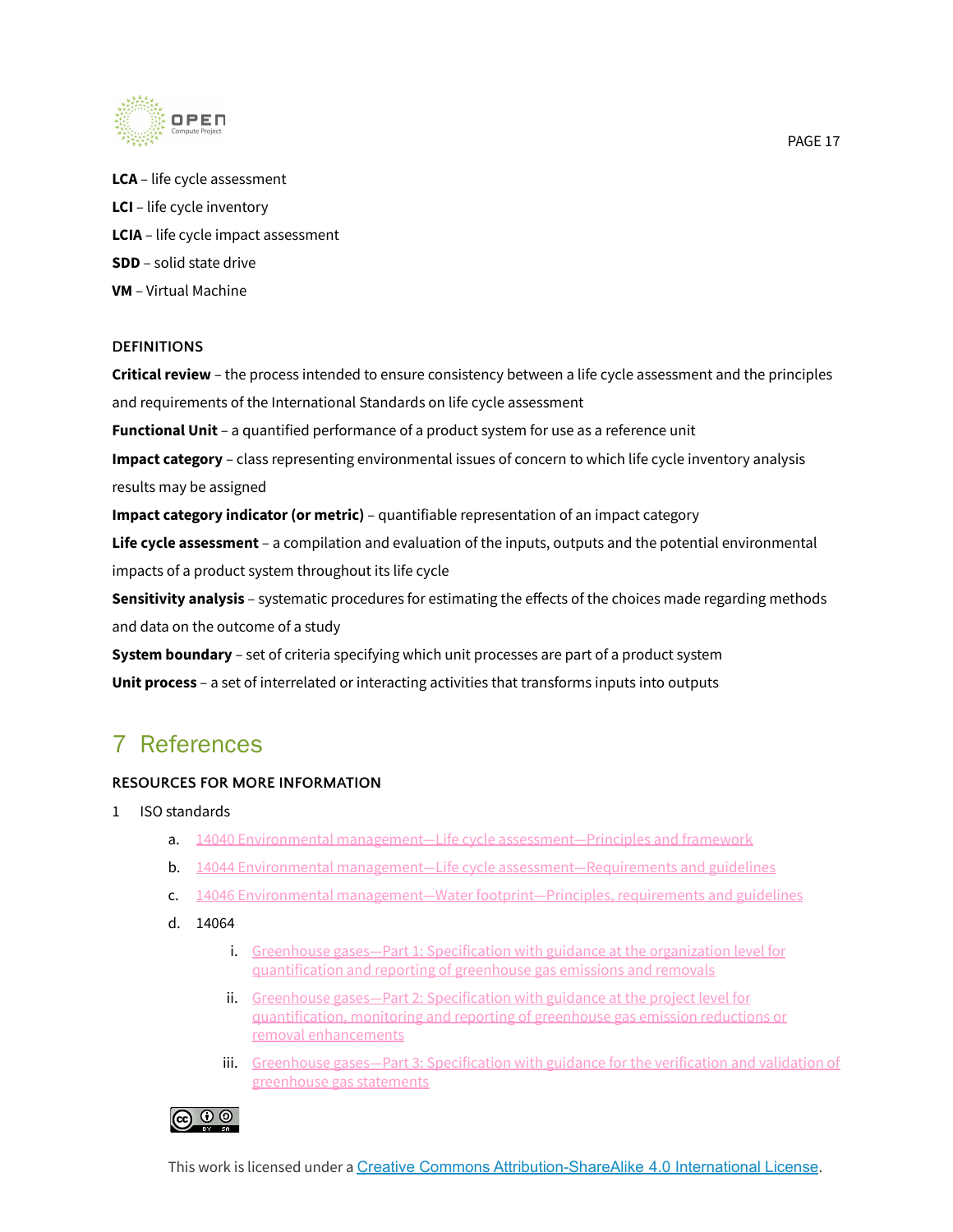

**LCA** – life cycle assessment **LCI** – life cycle inventory **LCIA** – life cycle impact assessment **SDD** – solid state drive **VM** – Virtual Machine

#### <span id="page-16-0"></span>**DEFINITIONS**

**Critical review** – the process intended to ensure consistency between a life cycle assessment and the principles and requirements of the International Standards on life cycle assessment

**Functional Unit** – a quantified performance of a product system for use as a reference unit

**Impact category** – class representing environmental issues of concern to which life cycle inventory analysis results may be assigned

**Impact category indicator (or metric)** – quantifiable representation of an impact category

**Life cycle assessment** – a compilation and evaluation of the inputs, outputs and the potential environmental impacts of a product system throughout its life cycle

**Sensitivity analysis** – systematic procedures for estimating the effects of the choices made regarding methods and data on the outcome of a study

**System boundary** – set of criteria specifying which unit processes are part of a product system **Unit process** – a set of interrelated or interacting activities that transforms inputs into outputs

### <span id="page-16-1"></span>7 References

### <span id="page-16-2"></span>**RESOURCES FOR MORE INFORMATION**

- 1 ISO standards
	- a. 14040 Environmental management—Life cycle [assessment—Principles](https://www.iso.org/standard/37456.html) and framework
	- b. 14044 Environmental management—Life cycle [assessment—Requirements](https://www.iso.org/standard/76122.html) and guidelines
	- c. 14046 Environmental management—Water [footprint—Principles,](https://www.iso.org/standard/43263.html) requirements and guidelines
	- d. 14064
		- i. Greenhouse gases—Part 1: [Specification](https://www.iso.org/standard/66453.html) with guidance at the organization level for [quantification](https://www.iso.org/standard/66453.html) and reporting of greenhouse gas emissions and removals
		- ii. Greenhouse gases—Part 2: [Specification](https://microsoft.sharepoint.com/teams/ConfidentialMaterialSharedwithWSP/Shared%20Documents/General/LCA%20SOP%20document/Greenhouse%20gases%20%E2%80%94%20Part%202:%20Specification%20with%20guidance%20at%20the%20project%20level%20for%20quantification,%20monitoring%20and%20reporting%20of%20greenhouse%20gas%20emission%20reductions%20or%20removal%20enhancements) with guidance at the project level for [quantification,](https://microsoft.sharepoint.com/teams/ConfidentialMaterialSharedwithWSP/Shared%20Documents/General/LCA%20SOP%20document/Greenhouse%20gases%20%E2%80%94%20Part%202:%20Specification%20with%20guidance%20at%20the%20project%20level%20for%20quantification,%20monitoring%20and%20reporting%20of%20greenhouse%20gas%20emission%20reductions%20or%20removal%20enhancements) monitoring and reporting of greenhouse gas emission reductions or removal [enhancements](https://microsoft.sharepoint.com/teams/ConfidentialMaterialSharedwithWSP/Shared%20Documents/General/LCA%20SOP%20document/Greenhouse%20gases%20%E2%80%94%20Part%202:%20Specification%20with%20guidance%20at%20the%20project%20level%20for%20quantification,%20monitoring%20and%20reporting%20of%20greenhouse%20gas%20emission%20reductions%20or%20removal%20enhancements)
		- iii. Greenhouse gases—Part 3: [Specification](https://www.iso.org/standard/66455.html) with guidance for the verification and validation of [greenhouse](https://www.iso.org/standard/66455.html) gas statements

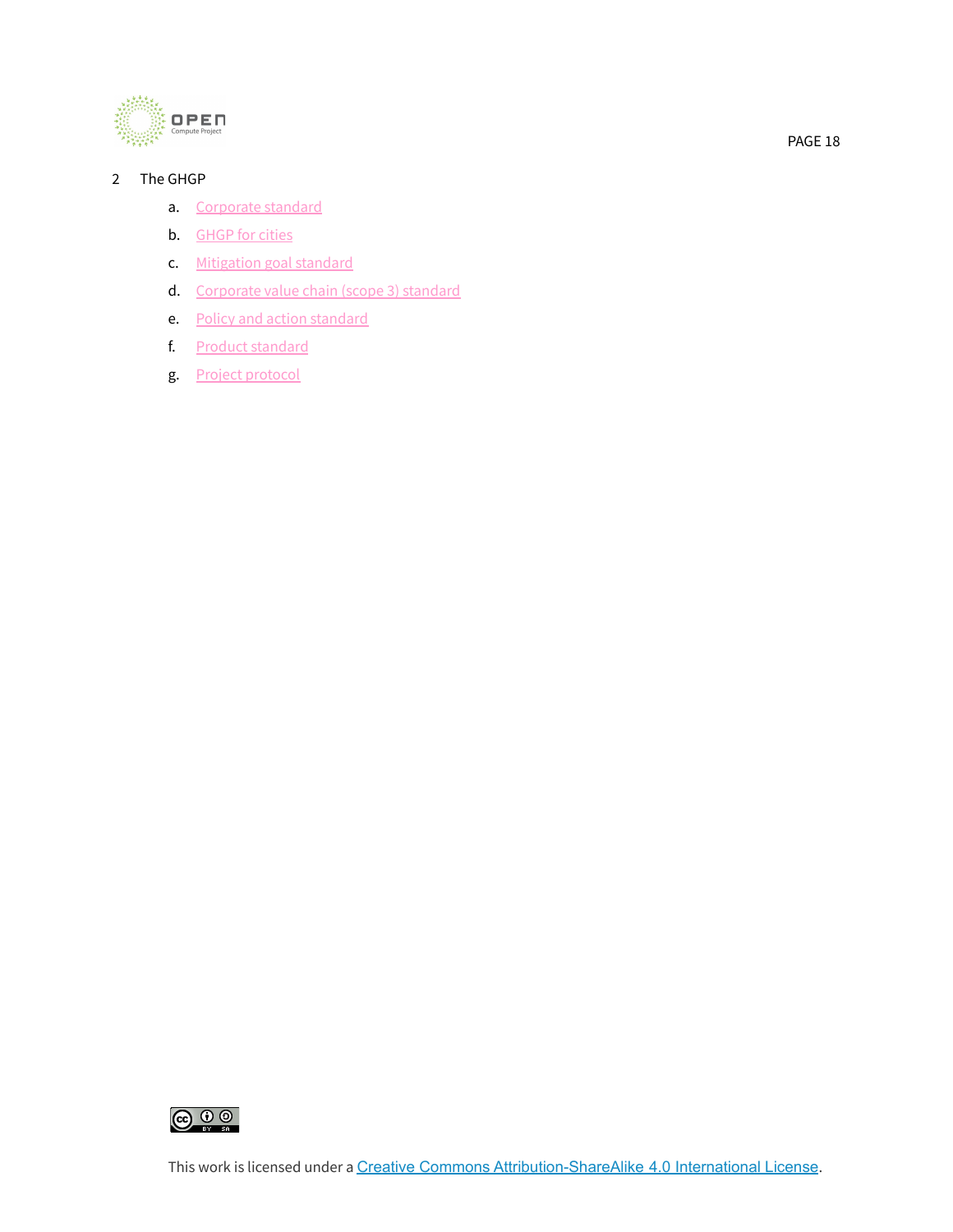

### 2 The GHGP

- a. [Corporate](https://ghgprotocol.org/corporate-standard) standard
- b. [GHGP](https://ghgprotocol.org/greenhouse-gas-protocol-accounting-reporting-standard-cities) for cities
- c. [Mitigation](https://ghgprotocol.org/mitigation-goal-standard) goal standard
- d. [Corporate](https://ghgprotocol.org/standards/scope-3-standard) value chain (scope 3) standard
- e. Policy and action [standard](https://ghgprotocol.org/policy-and-action-standard)
- f. Product [standard](https://ghgprotocol.org/product-standard)
- g. Project [protocol](https://ghgprotocol.org/standards/project-protocol)



This work is licensed under a Creative Commons [Attribution-ShareAlike](http://creativecommons.org/licenses/by-sa/4.0/) 4.0 International License.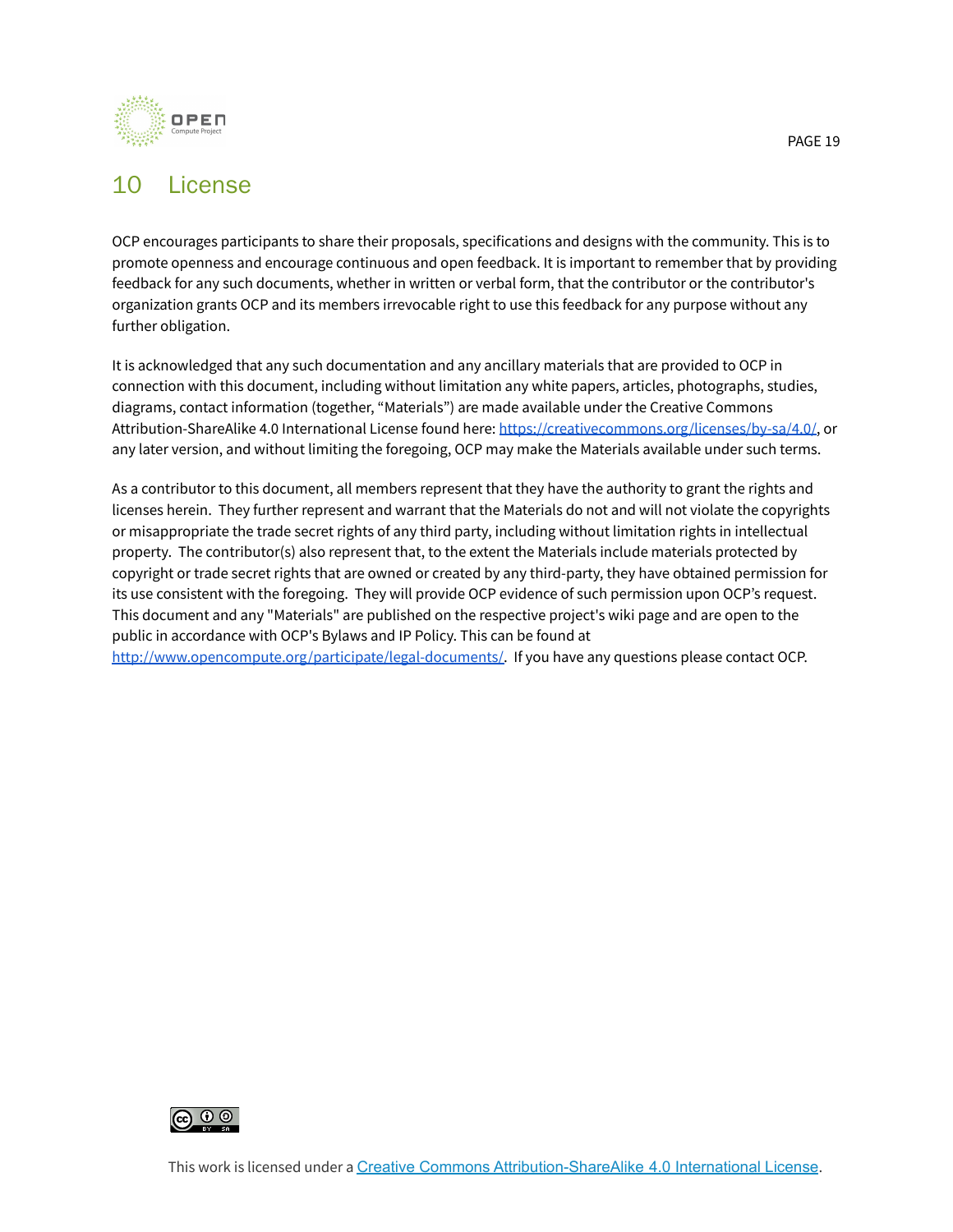

# <span id="page-18-0"></span>10 License

OCP encourages participants to share their proposals, specifications and designs with the community. This is to promote openness and encourage continuous and open feedback. It is important to remember that by providing feedback for any such documents, whether in written or verbal form, that the contributor or the contributor's organization grants OCP and its members irrevocable right to use this feedback for any purpose without any further obligation.

It is acknowledged that any such documentation and any ancillary materials that are provided to OCP in connection with this document, including without limitation any white papers, articles, photographs, studies, diagrams, contact information (together, "Materials") are made available under the Creative Commons Attribution-ShareAlike 4.0 International License found here: [https://creativecommons.org/licenses/by-sa/4.0/,](https://creativecommons.org/licenses/by-sa/4.0/) or any later version, and without limiting the foregoing, OCP may make the Materials available under such terms.

As a contributor to this document, all members represent that they have the authority to grant the rights and licenses herein. They further represent and warrant that the Materials do not and will not violate the copyrights or misappropriate the trade secret rights of any third party, including without limitation rights in intellectual property. The contributor(s) also represent that, to the extent the Materials include materials protected by copyright or trade secret rights that are owned or created by any third-party, they have obtained permission for its use consistent with the foregoing. They will provide OCP evidence of such permission upon OCP's request. This document and any "Materials" are published on the respective project's wiki page and are open to the public in accordance with OCP's Bylaws and IP Policy. This can be found at [http://www.opencompute.org/participate/legal-documents/.](http://www.opencompute.org/participate/legal-documents/) If you have any questions please contact OCP.